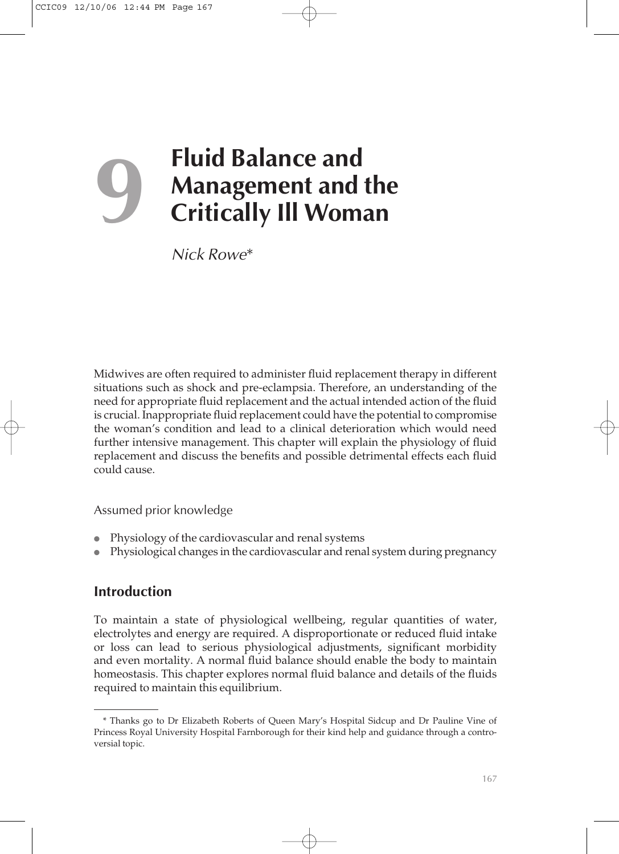# **9 Fluid Balance and**<br>**Management and<br>Critically III Wom Management and the Critically Ill Woman**

*Nick Rowe*\*

Midwives are often required to administer fluid replacement therapy in different situations such as shock and pre-eclampsia. Therefore, an understanding of the need for appropriate fluid replacement and the actual intended action of the fluid is crucial. Inappropriate fluid replacement could have the potential to compromise the woman's condition and lead to a clinical deterioration which would need further intensive management. This chapter will explain the physiology of fluid replacement and discuss the benefits and possible detrimental effects each fluid could cause.

Assumed prior knowledge

- <sup>l</sup> Physiology of the cardiovascular and renal systems
- <sup>l</sup> Physiological changes in the cardiovascular and renal system during pregnancy

## **Introduction**

To maintain a state of physiological wellbeing, regular quantities of water, electrolytes and energy are required. A disproportionate or reduced fluid intake or loss can lead to serious physiological adjustments, significant morbidity and even mortality. A normal fluid balance should enable the body to maintain homeostasis. This chapter explores normal fluid balance and details of the fluids required to maintain this equilibrium.

<sup>\*</sup> Thanks go to Dr Elizabeth Roberts of Queen Mary's Hospital Sidcup and Dr Pauline Vine of Princess Royal University Hospital Farnborough for their kind help and guidance through a controversial topic.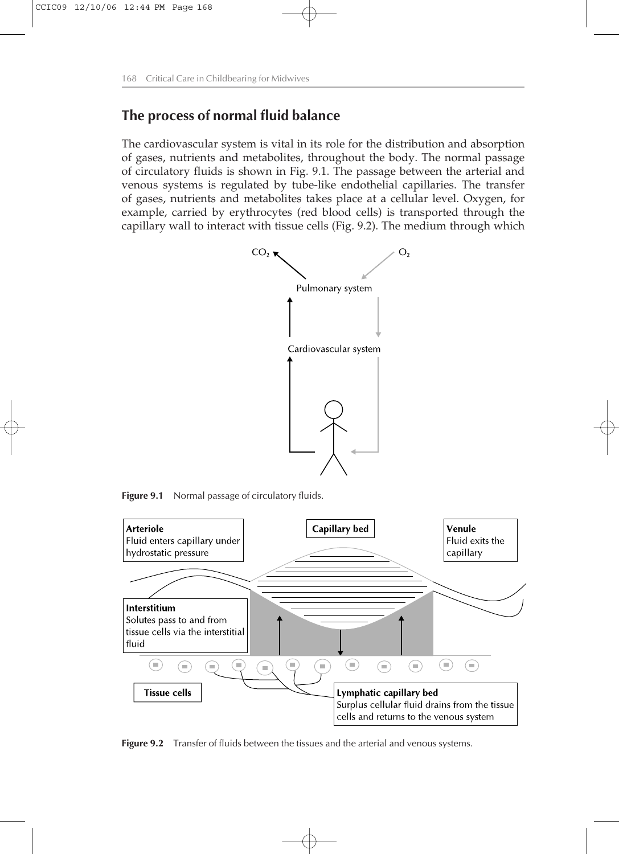## **The process of normal fluid balance**

The cardiovascular system is vital in its role for the distribution and absorption of gases, nutrients and metabolites, throughout the body. The normal passage of circulatory fluids is shown in Fig. 9.1. The passage between the arterial and venous systems is regulated by tube-like endothelial capillaries. The transfer of gases, nutrients and metabolites takes place at a cellular level. Oxygen, for example, carried by erythrocytes (red blood cells) is transported through the capillary wall to interact with tissue cells (Fig. 9.2). The medium through which



**Figure 9.1** Normal passage of circulatory fluids.



Figure 9.2 Transfer of fluids between the tissues and the arterial and venous systems.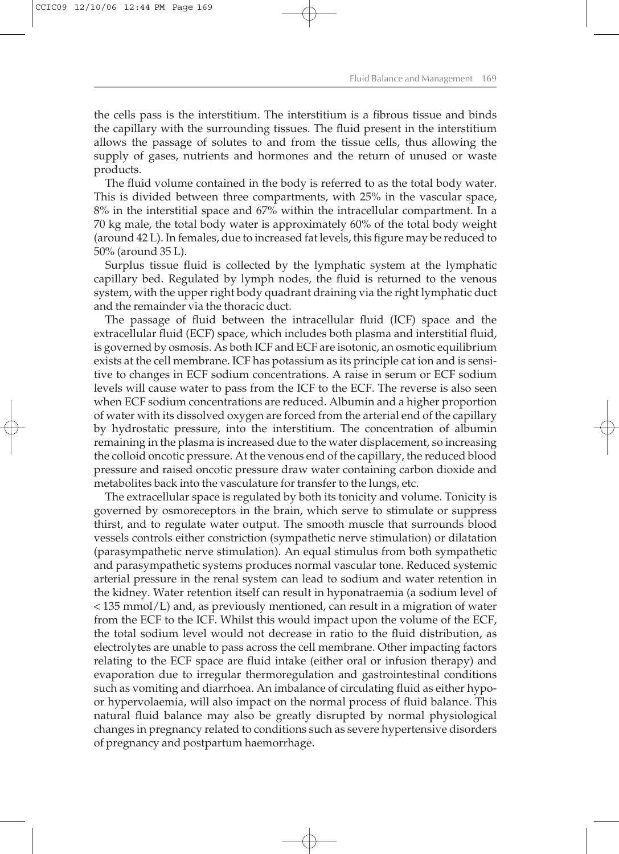the cells pass is the interstitium. The interstitium is a fibrous tissue and binds the capillary with the surrounding tissues. The fluid present in the interstitium allows the passage of solutes to and from the tissue cells, thus allowing the supply of gases, nutrients and hormones and the return of unused or waste products.

The fluid volume contained in the body is referred to as the total body water. This is divided between three compartments, with 25% in the vascular space, 8% in the interstitial space and 67% within the intracellular compartment. In a 70 kg male, the total body water is approximately 60% of the total body weight (around 42 L). In females, due to increased fat levels, this figure may be reduced to 50% (around 35 L).

Surplus tissue fluid is collected by the lymphatic system at the lymphatic capillary bed. Regulated by lymph nodes, the fluid is returned to the venous system, with the upper right body quadrant draining via the right lymphatic duct and the remainder via the thoracic duct.

The passage of fluid between the intracellular fluid (ICF) space and the extracellular fluid (ECF) space, which includes both plasma and interstitial fluid, is governed by osmosis. As both ICF and ECF are isotonic, an osmotic equilibrium exists at the cell membrane. ICF has potassium as its principle cat ion and is sensitive to changes in ECF sodium concentrations. A raise in serum or ECF sodium levels will cause water to pass from the ICF to the ECF. The reverse is also seen when ECF sodium concentrations are reduced. Albumin and a higher proportion of water with its dissolved oxygen are forced from the arterial end of the capillary by hydrostatic pressure, into the interstitium. The concentration of albumin remaining in the plasma is increased due to the water displacement, so increasing the colloid oncotic pressure. At the venous end of the capillary, the reduced blood pressure and raised oncotic pressure draw water containing carbon dioxide and metabolites back into the vasculature for transfer to the lungs, etc.

The extracellular space is regulated by both its tonicity and volume. Tonicity is governed by osmoreceptors in the brain, which serve to stimulate or suppress thirst, and to regulate water output. The smooth muscle that surrounds blood vessels controls either constriction (sympathetic nerve stimulation) or dilatation (parasympathetic nerve stimulation). An equal stimulus from both sympathetic and parasympathetic systems produces normal vascular tone. Reduced systemic arterial pressure in the renal system can lead to sodium and water retention in the kidney. Water retention itself can result in hyponatraemia (a sodium level of < 135 mmol/L) and, as previously mentioned, can result in a migration of water from the ECF to the ICF. Whilst this would impact upon the volume of the ECF, the total sodium level would not decrease in ratio to the fluid distribution, as electrolytes are unable to pass across the cell membrane. Other impacting factors relating to the ECF space are fluid intake (either oral or infusion therapy) and evaporation due to irregular thermoregulation and gastrointestinal conditions such as vomiting and diarrhoea. An imbalance of circulating fluid as either hypoor hypervolaemia, will also impact on the normal process of fluid balance. This natural fluid balance may also be greatly disrupted by normal physiological changes in pregnancy related to conditions such as severe hypertensive disorders of pregnancy and postpartum haemorrhage.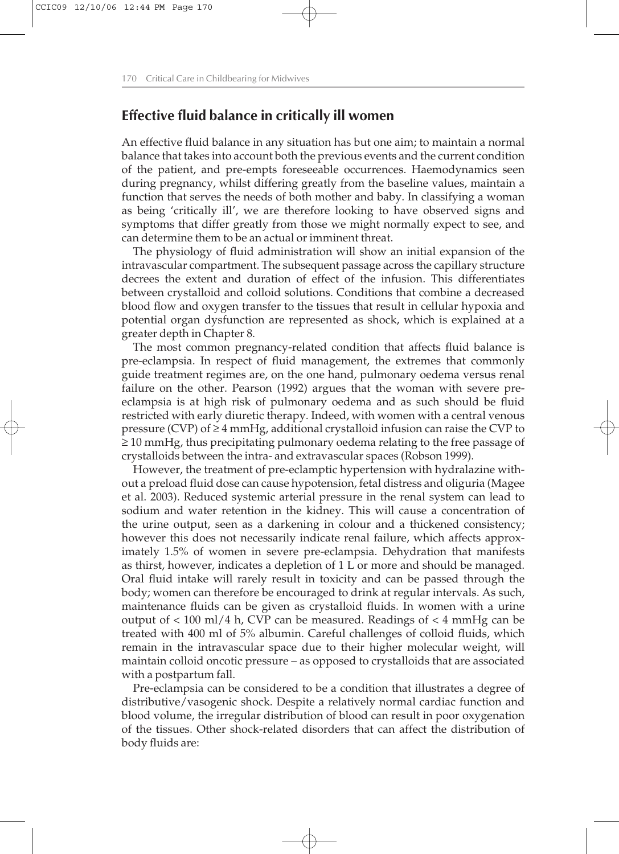## **Effective fluid balance in critically ill women**

An effective fluid balance in any situation has but one aim; to maintain a normal balance that takes into account both the previous events and the current condition of the patient, and pre-empts foreseeable occurrences. Haemodynamics seen during pregnancy, whilst differing greatly from the baseline values, maintain a function that serves the needs of both mother and baby. In classifying a woman as being 'critically ill', we are therefore looking to have observed signs and symptoms that differ greatly from those we might normally expect to see, and can determine them to be an actual or imminent threat.

The physiology of fluid administration will show an initial expansion of the intravascular compartment. The subsequent passage across the capillary structure decrees the extent and duration of effect of the infusion. This differentiates between crystalloid and colloid solutions. Conditions that combine a decreased blood flow and oxygen transfer to the tissues that result in cellular hypoxia and potential organ dysfunction are represented as shock, which is explained at a greater depth in Chapter 8.

The most common pregnancy-related condition that affects fluid balance is pre-eclampsia. In respect of fluid management, the extremes that commonly guide treatment regimes are, on the one hand, pulmonary oedema versus renal failure on the other. Pearson (1992) argues that the woman with severe preeclampsia is at high risk of pulmonary oedema and as such should be fluid restricted with early diuretic therapy. Indeed, with women with a central venous pressure (CVP) of ≥4 mmHg, additional crystalloid infusion can raise the CVP to ≥ 10 mmHg, thus precipitating pulmonary oedema relating to the free passage of crystalloids between the intra- and extravascular spaces (Robson 1999).

However, the treatment of pre-eclamptic hypertension with hydralazine without a preload fluid dose can cause hypotension, fetal distress and oliguria (Magee et al. 2003). Reduced systemic arterial pressure in the renal system can lead to sodium and water retention in the kidney. This will cause a concentration of the urine output, seen as a darkening in colour and a thickened consistency; however this does not necessarily indicate renal failure, which affects approximately 1.5% of women in severe pre-eclampsia. Dehydration that manifests as thirst, however, indicates a depletion of 1 L or more and should be managed. Oral fluid intake will rarely result in toxicity and can be passed through the body; women can therefore be encouraged to drink at regular intervals. As such, maintenance fluids can be given as crystalloid fluids. In women with a urine output of  $< 100$  ml/4 h, CVP can be measured. Readings of  $< 4$  mmHg can be treated with 400 ml of 5% albumin. Careful challenges of colloid fluids, which remain in the intravascular space due to their higher molecular weight, will maintain colloid oncotic pressure – as opposed to crystalloids that are associated with a postpartum fall.

Pre-eclampsia can be considered to be a condition that illustrates a degree of distributive/vasogenic shock. Despite a relatively normal cardiac function and blood volume, the irregular distribution of blood can result in poor oxygenation of the tissues. Other shock-related disorders that can affect the distribution of body fluids are: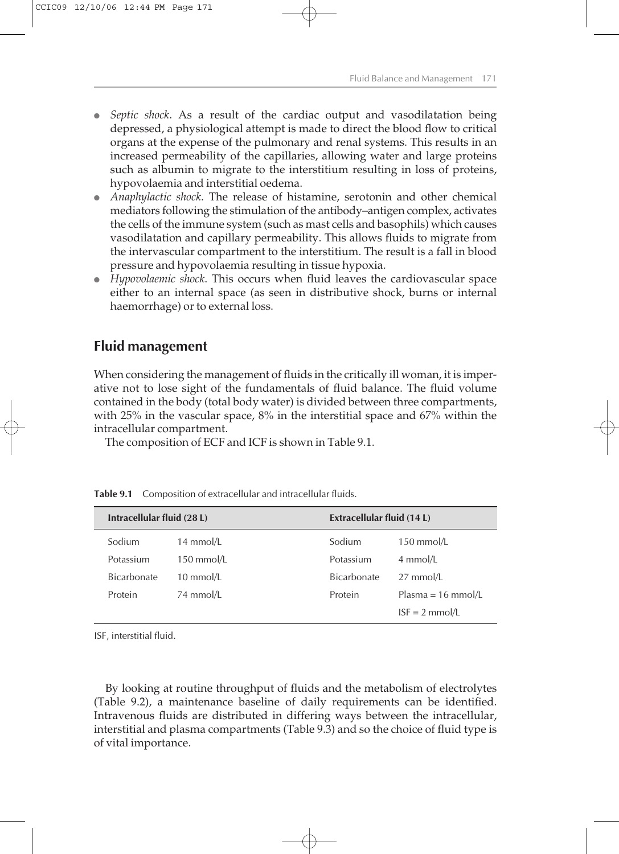- *Septic shock*. As a result of the cardiac output and vasodilatation being depressed, a physiological attempt is made to direct the blood flow to critical organs at the expense of the pulmonary and renal systems. This results in an increased permeability of the capillaries, allowing water and large proteins such as albumin to migrate to the interstitium resulting in loss of proteins, hypovolaemia and interstitial oedema.
- **•** *Anaphylactic shock*. The release of histamine, serotonin and other chemical mediators following the stimulation of the antibody–antigen complex, activates the cells of the immune system (such as mast cells and basophils) which causes vasodilatation and capillary permeability. This allows fluids to migrate from the intervascular compartment to the interstitium. The result is a fall in blood pressure and hypovolaemia resulting in tissue hypoxia.
- <sup>l</sup> *Hypovolaemic shock*. This occurs when fluid leaves the cardiovascular space either to an internal space (as seen in distributive shock, burns or internal haemorrhage) or to external loss.

## **Fluid management**

When considering the management of fluids in the critically ill woman, it is imperative not to lose sight of the fundamentals of fluid balance. The fluid volume contained in the body (total body water) is divided between three compartments, with 25% in the vascular space, 8% in the interstitial space and 67% within the intracellular compartment.

The composition of ECF and ICF is shown in Table 9.1.

| Intracellular fluid (28 L) |              | Extracellular fluid (14 L) |                              |
|----------------------------|--------------|----------------------------|------------------------------|
| Sodium                     | 14 mmol/L    | Sodium                     | $150$ mmol/L                 |
| Potassium                  | $150$ mmol/L | Potassium                  | 4 mmol/L                     |
| <b>Bicarbonate</b>         | 10 mmol/L    | <b>Bicarbonate</b>         | $27$ mmol/L                  |
| Protein                    | 74 mmol/L    | Protein                    | Plasma = $16 \text{ mmol/L}$ |
|                            |              |                            | $ISF = 2$ mmol/L             |

**Table 9.1** Composition of extracellular and intracellular fluids.

ISF, interstitial fluid.

By looking at routine throughput of fluids and the metabolism of electrolytes (Table 9.2), a maintenance baseline of daily requirements can be identified. Intravenous fluids are distributed in differing ways between the intracellular, interstitial and plasma compartments (Table 9.3) and so the choice of fluid type is of vital importance.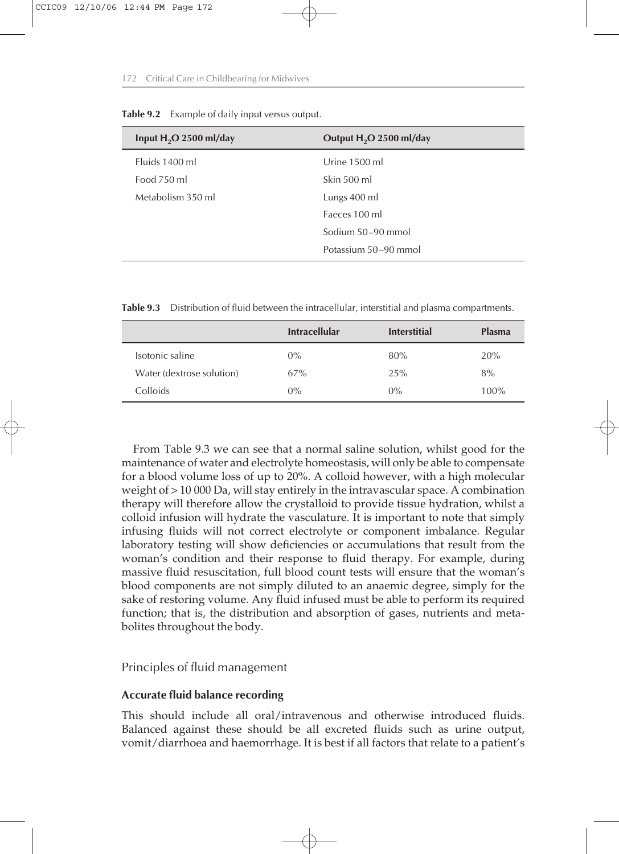| Input $H_2O$ 2500 ml/day | Output H <sub>2</sub> O 2500 ml/day |  |
|--------------------------|-------------------------------------|--|
| Fluids 1400 ml           | Urine 1500 ml                       |  |
| Food 750 ml              | Skin 500 ml                         |  |
| Metabolism 350 ml        | Lungs 400 ml                        |  |
|                          | Faeces 100 ml                       |  |
|                          | Sodium 50–90 mmol                   |  |
|                          | Potassium 50–90 mmol                |  |
|                          |                                     |  |

**Table 9.2** Example of daily input versus output.

**Table 9.3** Distribution of fluid between the intracellular, interstitial and plasma compartments.

|                           | <b>Intracellular</b> | <b>Interstitial</b> | <b>Plasma</b> |
|---------------------------|----------------------|---------------------|---------------|
| Isotonic saline           | $0\%$                | 80%                 | 20%           |
| Water (dextrose solution) | 67%                  | 25%                 | 8%            |
| Colloids                  | $0\%$                | $0\%$               | 100%          |

From Table 9.3 we can see that a normal saline solution, whilst good for the maintenance of water and electrolyte homeostasis, will only be able to compensate for a blood volume loss of up to 20%. A colloid however, with a high molecular weight of > 10 000 Da, will stay entirely in the intravascular space. A combination therapy will therefore allow the crystalloid to provide tissue hydration, whilst a colloid infusion will hydrate the vasculature. It is important to note that simply infusing fluids will not correct electrolyte or component imbalance. Regular laboratory testing will show deficiencies or accumulations that result from the woman's condition and their response to fluid therapy. For example, during massive fluid resuscitation, full blood count tests will ensure that the woman's blood components are not simply diluted to an anaemic degree, simply for the sake of restoring volume. Any fluid infused must be able to perform its required function; that is, the distribution and absorption of gases, nutrients and metabolites throughout the body.

#### Principles of fluid management

#### **Accurate fluid balance recording**

This should include all oral/intravenous and otherwise introduced fluids. Balanced against these should be all excreted fluids such as urine output, vomit/diarrhoea and haemorrhage. It is best if all factors that relate to a patient's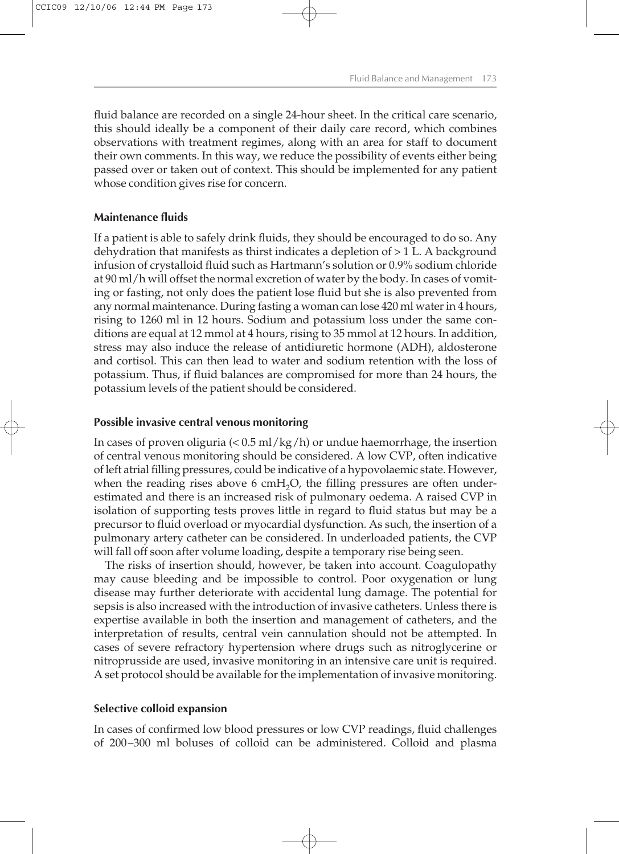fluid balance are recorded on a single 24-hour sheet. In the critical care scenario, this should ideally be a component of their daily care record, which combines observations with treatment regimes, along with an area for staff to document their own comments. In this way, we reduce the possibility of events either being passed over or taken out of context. This should be implemented for any patient whose condition gives rise for concern.

#### **Maintenance fluids**

If a patient is able to safely drink fluids, they should be encouraged to do so. Any dehydration that manifests as thirst indicates a depletion of > 1 L. A background infusion of crystalloid fluid such as Hartmann's solution or 0.9% sodium chloride at 90 ml/h will offset the normal excretion of water by the body. In cases of vomiting or fasting, not only does the patient lose fluid but she is also prevented from any normal maintenance. During fasting a woman can lose 420 ml water in 4 hours, rising to 1260 ml in 12 hours. Sodium and potassium loss under the same conditions are equal at 12 mmol at 4 hours, rising to 35 mmol at 12 hours. In addition, stress may also induce the release of antidiuretic hormone (ADH), aldosterone and cortisol. This can then lead to water and sodium retention with the loss of potassium. Thus, if fluid balances are compromised for more than 24 hours, the potassium levels of the patient should be considered.

#### **Possible invasive central venous monitoring**

In cases of proven oliguria  $\left($  < 0.5 ml/kg/h) or undue haemorrhage, the insertion of central venous monitoring should be considered. A low CVP, often indicative of left atrial filling pressures, could be indicative of a hypovolaemic state. However, when the reading rises above 6 cmH<sub>2</sub>O, the filling pressures are often underestimated and there is an increased risk of pulmonary oedema. A raised CVP in isolation of supporting tests proves little in regard to fluid status but may be a precursor to fluid overload or myocardial dysfunction. As such, the insertion of a pulmonary artery catheter can be considered. In underloaded patients, the CVP will fall off soon after volume loading, despite a temporary rise being seen.

The risks of insertion should, however, be taken into account. Coagulopathy may cause bleeding and be impossible to control. Poor oxygenation or lung disease may further deteriorate with accidental lung damage. The potential for sepsis is also increased with the introduction of invasive catheters. Unless there is expertise available in both the insertion and management of catheters, and the interpretation of results, central vein cannulation should not be attempted. In cases of severe refractory hypertension where drugs such as nitroglycerine or nitroprusside are used, invasive monitoring in an intensive care unit is required. A set protocol should be available for the implementation of invasive monitoring.

#### **Selective colloid expansion**

In cases of confirmed low blood pressures or low CVP readings, fluid challenges of 200–300 ml boluses of colloid can be administered. Colloid and plasma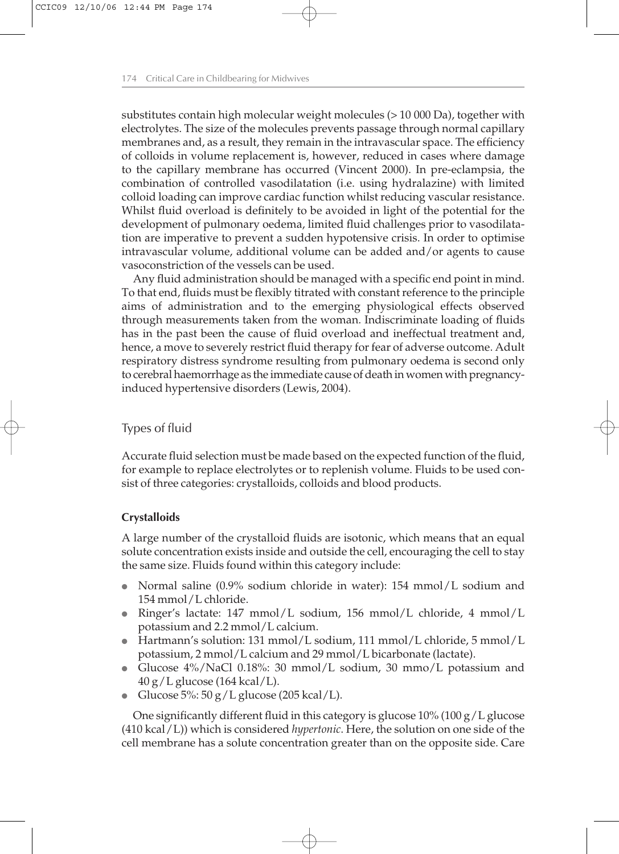substitutes contain high molecular weight molecules (> 10 000 Da), together with electrolytes. The size of the molecules prevents passage through normal capillary membranes and, as a result, they remain in the intravascular space. The efficiency of colloids in volume replacement is, however, reduced in cases where damage to the capillary membrane has occurred (Vincent 2000). In pre-eclampsia, the combination of controlled vasodilatation (i.e. using hydralazine) with limited colloid loading can improve cardiac function whilst reducing vascular resistance. Whilst fluid overload is definitely to be avoided in light of the potential for the development of pulmonary oedema, limited fluid challenges prior to vasodilatation are imperative to prevent a sudden hypotensive crisis. In order to optimise intravascular volume, additional volume can be added and/or agents to cause vasoconstriction of the vessels can be used.

Any fluid administration should be managed with a specific end point in mind. To that end, fluids must be flexibly titrated with constant reference to the principle aims of administration and to the emerging physiological effects observed through measurements taken from the woman. Indiscriminate loading of fluids has in the past been the cause of fluid overload and ineffectual treatment and, hence, a move to severely restrict fluid therapy for fear of adverse outcome. Adult respiratory distress syndrome resulting from pulmonary oedema is second only to cerebral haemorrhage as the immediate cause of death in women with pregnancyinduced hypertensive disorders (Lewis, 2004).

#### Types of fluid

Accurate fluid selection must be made based on the expected function of the fluid, for example to replace electrolytes or to replenish volume. Fluids to be used consist of three categories: crystalloids, colloids and blood products.

#### **Crystalloids**

A large number of the crystalloid fluids are isotonic, which means that an equal solute concentration exists inside and outside the cell, encouraging the cell to stay the same size. Fluids found within this category include:

- Normal saline (0.9% sodium chloride in water):  $154 \text{ mmol/L}$  sodium and 154 mmol/L chloride.
- Ringer's lactate: 147 mmol/L sodium, 156 mmol/L chloride, 4 mmol/L potassium and 2.2 mmol/L calcium.
- $\bullet$  Hartmann's solution: 131 mmol/L sodium, 111 mmol/L chloride, 5 mmol/L potassium, 2 mmol/L calcium and 29 mmol/L bicarbonate (lactate).
- Glucose  $4\%/$ NaCl 0.18%: 30 mmol/L sodium, 30 mmo/L potassium and 40 g/L glucose (164 kcal/L).
- Glucose  $5\%$ : 50 g/L glucose (205 kcal/L).

One significantly different fluid in this category is glucose  $10\%$  (100 g/L glucose (410 kcal/L)) which is considered *hypertonic*. Here, the solution on one side of the cell membrane has a solute concentration greater than on the opposite side. Care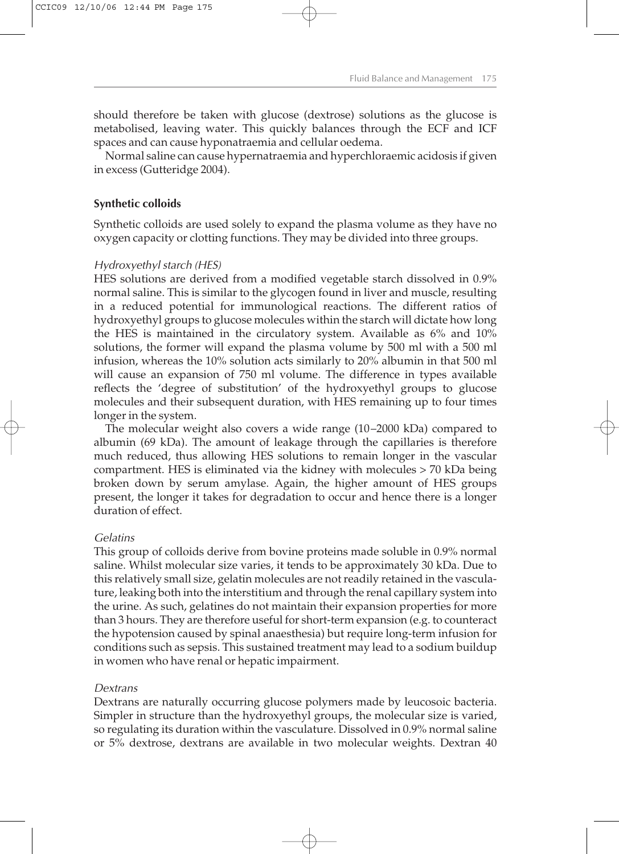should therefore be taken with glucose (dextrose) solutions as the glucose is metabolised, leaving water. This quickly balances through the ECF and ICF spaces and can cause hyponatraemia and cellular oedema.

Normal saline can cause hypernatraemia and hyperchloraemic acidosis if given in excess (Gutteridge 2004).

#### **Synthetic colloids**

Synthetic colloids are used solely to expand the plasma volume as they have no oxygen capacity or clotting functions. They may be divided into three groups.

#### *Hydroxyethyl starch (HES)*

HES solutions are derived from a modified vegetable starch dissolved in 0.9% normal saline. This is similar to the glycogen found in liver and muscle, resulting in a reduced potential for immunological reactions. The different ratios of hydroxyethyl groups to glucose molecules within the starch will dictate how long the HES is maintained in the circulatory system. Available as 6% and 10% solutions, the former will expand the plasma volume by 500 ml with a 500 ml infusion, whereas the 10% solution acts similarly to 20% albumin in that 500 ml will cause an expansion of 750 ml volume. The difference in types available reflects the 'degree of substitution' of the hydroxyethyl groups to glucose molecules and their subsequent duration, with HES remaining up to four times longer in the system.

The molecular weight also covers a wide range (10–2000 kDa) compared to albumin (69 kDa). The amount of leakage through the capillaries is therefore much reduced, thus allowing HES solutions to remain longer in the vascular compartment. HES is eliminated via the kidney with molecules > 70 kDa being broken down by serum amylase. Again, the higher amount of HES groups present, the longer it takes for degradation to occur and hence there is a longer duration of effect.

#### *Gelatins*

This group of colloids derive from bovine proteins made soluble in 0.9% normal saline. Whilst molecular size varies, it tends to be approximately 30 kDa. Due to this relatively small size, gelatin molecules are not readily retained in the vasculature, leaking both into the interstitium and through the renal capillary system into the urine. As such, gelatines do not maintain their expansion properties for more than 3 hours. They are therefore useful for short-term expansion (e.g. to counteract the hypotension caused by spinal anaesthesia) but require long-term infusion for conditions such as sepsis. This sustained treatment may lead to a sodium buildup in women who have renal or hepatic impairment.

#### *Dextrans*

Dextrans are naturally occurring glucose polymers made by leucosoic bacteria. Simpler in structure than the hydroxyethyl groups, the molecular size is varied, so regulating its duration within the vasculature. Dissolved in 0.9% normal saline or 5% dextrose, dextrans are available in two molecular weights. Dextran 40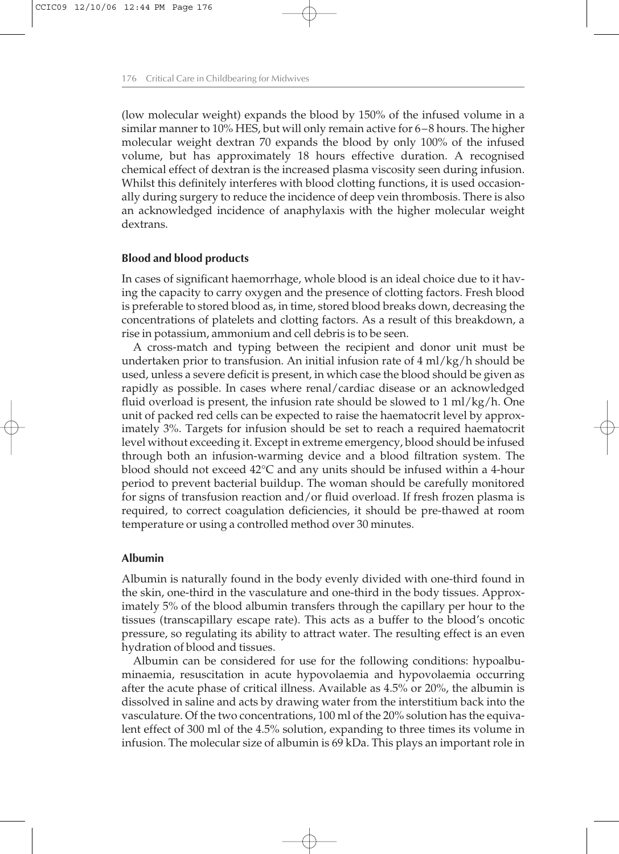(low molecular weight) expands the blood by 150% of the infused volume in a similar manner to 10% HES, but will only remain active for 6–8 hours. The higher molecular weight dextran 70 expands the blood by only 100% of the infused volume, but has approximately 18 hours effective duration. A recognised chemical effect of dextran is the increased plasma viscosity seen during infusion. Whilst this definitely interferes with blood clotting functions, it is used occasionally during surgery to reduce the incidence of deep vein thrombosis. There is also an acknowledged incidence of anaphylaxis with the higher molecular weight dextrans.

#### **Blood and blood products**

In cases of significant haemorrhage, whole blood is an ideal choice due to it having the capacity to carry oxygen and the presence of clotting factors. Fresh blood is preferable to stored blood as, in time, stored blood breaks down, decreasing the concentrations of platelets and clotting factors. As a result of this breakdown, a rise in potassium, ammonium and cell debris is to be seen.

A cross-match and typing between the recipient and donor unit must be undertaken prior to transfusion. An initial infusion rate of 4 ml/kg/h should be used, unless a severe deficit is present, in which case the blood should be given as rapidly as possible. In cases where renal/cardiac disease or an acknowledged fluid overload is present, the infusion rate should be slowed to  $1 \text{ ml/kg/h}$ . One unit of packed red cells can be expected to raise the haematocrit level by approximately 3%. Targets for infusion should be set to reach a required haematocrit level without exceeding it. Except in extreme emergency, blood should be infused through both an infusion-warming device and a blood filtration system. The blood should not exceed 42°C and any units should be infused within a 4-hour period to prevent bacterial buildup. The woman should be carefully monitored for signs of transfusion reaction and/or fluid overload. If fresh frozen plasma is required, to correct coagulation deficiencies, it should be pre-thawed at room temperature or using a controlled method over 30 minutes.

#### **Albumin**

Albumin is naturally found in the body evenly divided with one-third found in the skin, one-third in the vasculature and one-third in the body tissues. Approximately 5% of the blood albumin transfers through the capillary per hour to the tissues (transcapillary escape rate). This acts as a buffer to the blood's oncotic pressure, so regulating its ability to attract water. The resulting effect is an even hydration of blood and tissues.

Albumin can be considered for use for the following conditions: hypoalbuminaemia, resuscitation in acute hypovolaemia and hypovolaemia occurring after the acute phase of critical illness. Available as 4.5% or 20%, the albumin is dissolved in saline and acts by drawing water from the interstitium back into the vasculature. Of the two concentrations, 100 ml of the 20% solution has the equivalent effect of 300 ml of the 4.5% solution, expanding to three times its volume in infusion. The molecular size of albumin is 69 kDa. This plays an important role in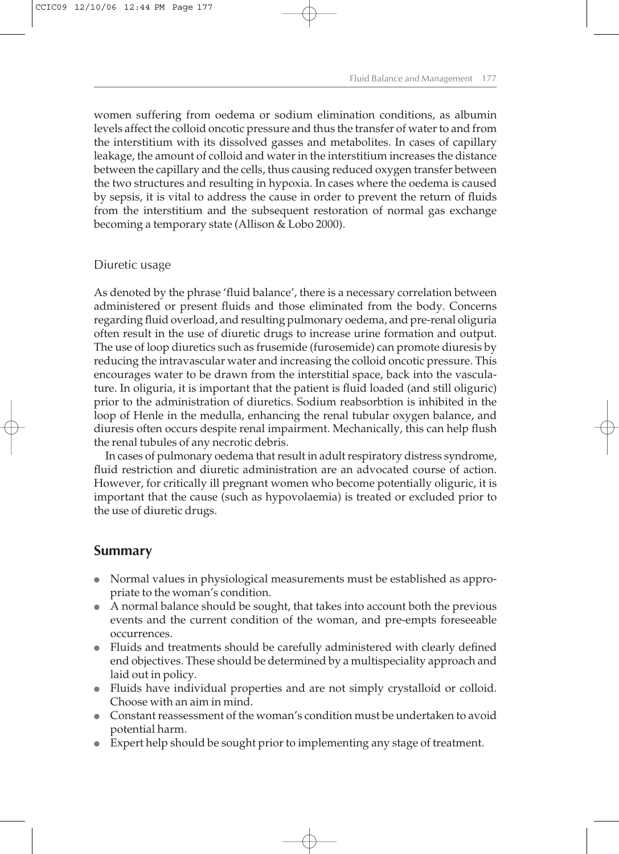women suffering from oedema or sodium elimination conditions, as albumin levels affect the colloid oncotic pressure and thus the transfer of water to and from the interstitium with its dissolved gasses and metabolites. In cases of capillary leakage, the amount of colloid and water in the interstitium increases the distance between the capillary and the cells, thus causing reduced oxygen transfer between the two structures and resulting in hypoxia. In cases where the oedema is caused by sepsis, it is vital to address the cause in order to prevent the return of fluids from the interstitium and the subsequent restoration of normal gas exchange becoming a temporary state (Allison & Lobo 2000).

#### Diuretic usage

As denoted by the phrase 'fluid balance', there is a necessary correlation between administered or present fluids and those eliminated from the body. Concerns regarding fluid overload, and resulting pulmonary oedema, and pre-renal oliguria often result in the use of diuretic drugs to increase urine formation and output. The use of loop diuretics such as frusemide (furosemide) can promote diuresis by reducing the intravascular water and increasing the colloid oncotic pressure. This encourages water to be drawn from the interstitial space, back into the vasculature. In oliguria, it is important that the patient is fluid loaded (and still oliguric) prior to the administration of diuretics. Sodium reabsorbtion is inhibited in the loop of Henle in the medulla, enhancing the renal tubular oxygen balance, and diuresis often occurs despite renal impairment. Mechanically, this can help flush the renal tubules of any necrotic debris.

In cases of pulmonary oedema that result in adult respiratory distress syndrome, fluid restriction and diuretic administration are an advocated course of action. However, for critically ill pregnant women who become potentially oliguric, it is important that the cause (such as hypovolaemia) is treated or excluded prior to the use of diuretic drugs.

### **Summary**

- Normal values in physiological measurements must be established as appropriate to the woman's condition.
- $\bullet$  A normal balance should be sought, that takes into account both the previous events and the current condition of the woman, and pre-empts foreseeable occurrences.
- <sup>l</sup> Fluids and treatments should be carefully administered with clearly defined end objectives. These should be determined by a multispeciality approach and laid out in policy.
- <sup>l</sup> Fluids have individual properties and are not simply crystalloid or colloid. Choose with an aim in mind.
- Constant reassessment of the woman's condition must be undertaken to avoid potential harm.
- Expert help should be sought prior to implementing any stage of treatment.